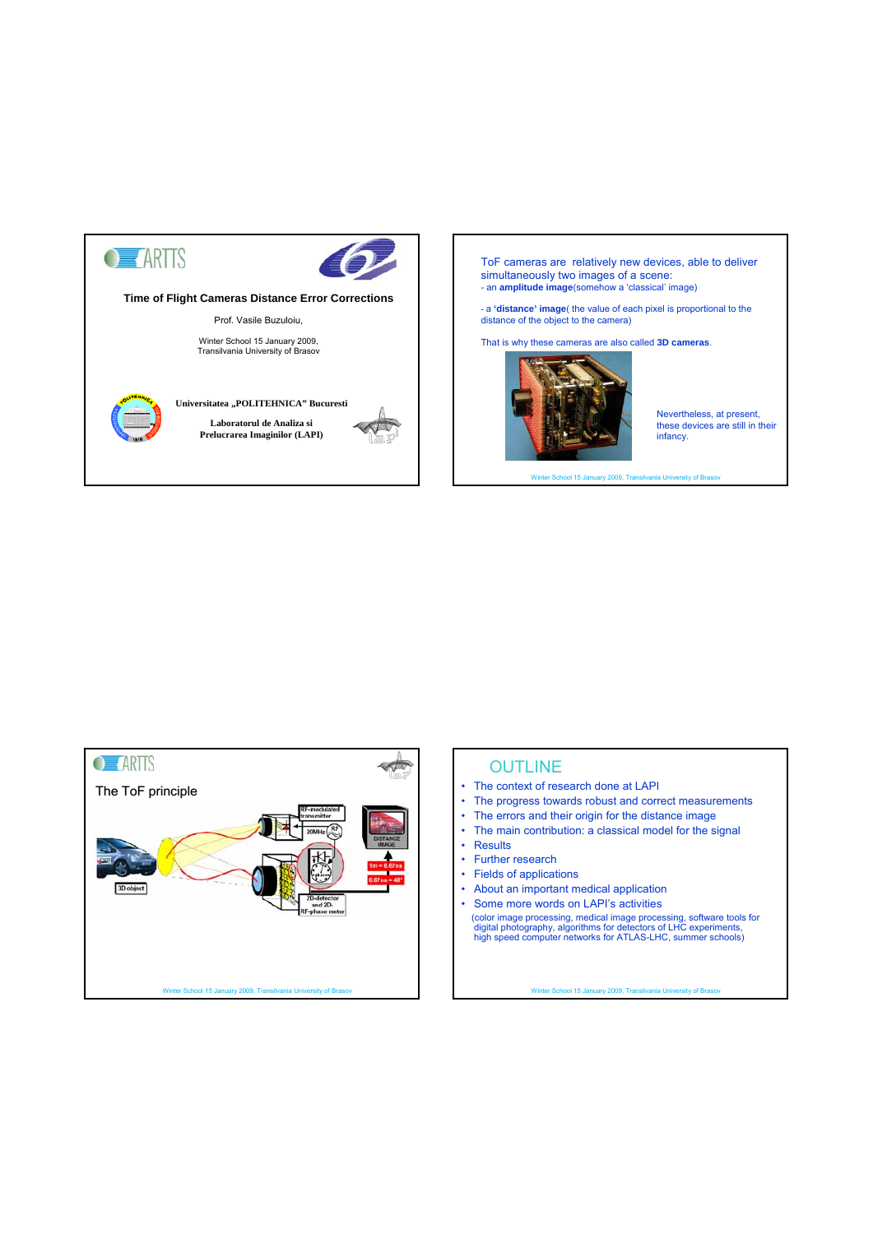

ToF cameras are relatively new devices, able to deliver simultaneously two images of a scene: - an **amplitude image**(somehow a 'classical' image)

- a **'distance' image**( the value of each pixel is proportional to the distance of the object to the camera)

That is why these cameras are also called **3D cameras**.



Nevertheless, at present, these devices are still in their infancy.

Winter School 15 January 2009, Transilvania University of Brasov



# **OUTLINE**

- The context of research done at LAPI
- The progress towards robust and correct measurements
- The errors and their origin for the distance image
- The main contribution: a classical model for the signal
- Results
- Further research
- Fields of applications
- About an important medical application
- Some more words on LAPI's activities (color image processing, medical image processing, software tools for digital photography, algorithms for detectors of LHC experiments, high speed computer networks for ATLAS-LHC, summer schools)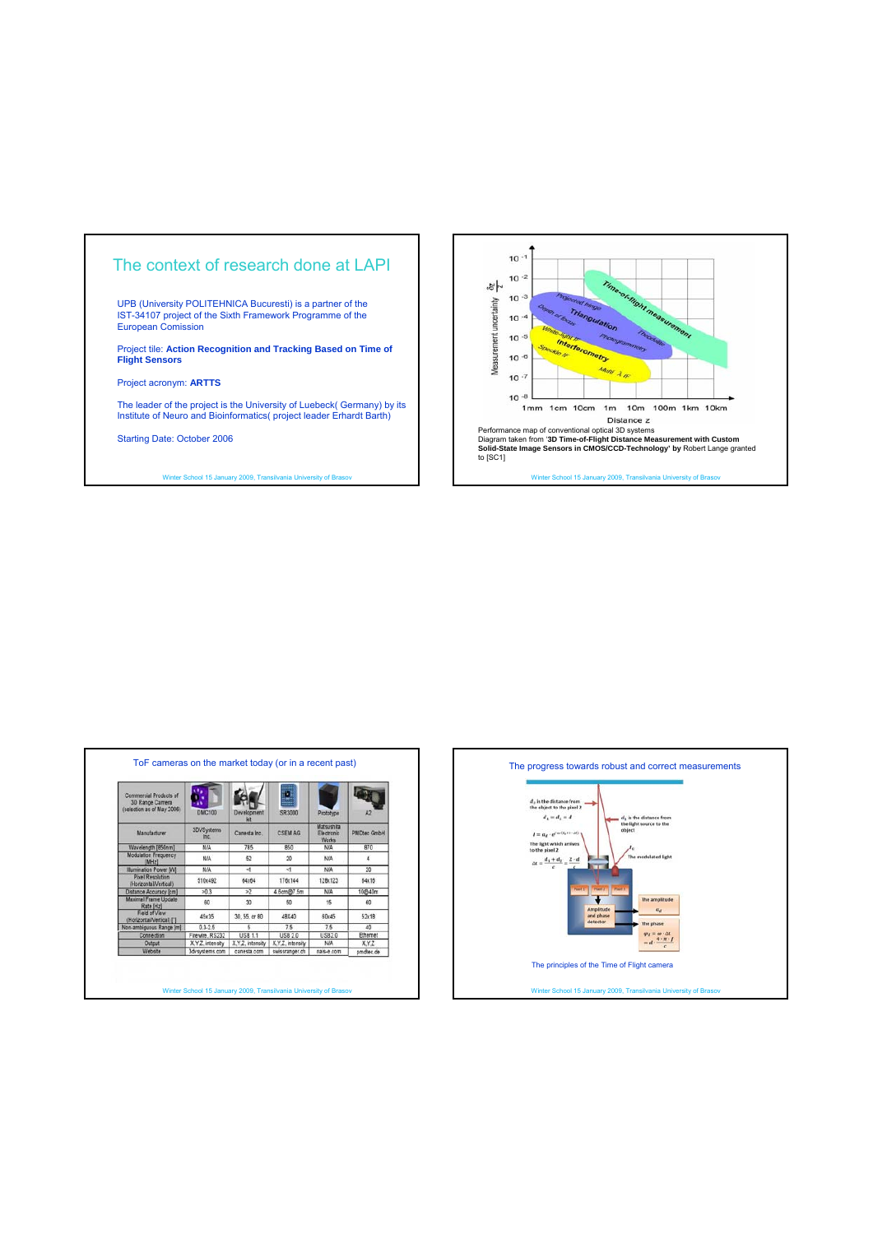



| Commercial Products of<br>3D Range Camera<br>(selection as of May 2006). | <b>DMC100</b>      | Develocment<br>kit | SR3000           | Prototype                                       | A <sub>2</sub>     |
|--------------------------------------------------------------------------|--------------------|--------------------|------------------|-------------------------------------------------|--------------------|
| <b>Manufacturer</b>                                                      | 3DVSystems<br>Inc. | Canesta inc.       | <b>CSEM AG</b>   | Matsushita<br><b>Flectronic</b><br><b>Works</b> | <b>PMDtec GmbH</b> |
| Wavelength [850nm]                                                       | <b>N/A</b>         | 785                | 850              | <b>N/A</b>                                      | 870                |
| Modulation Frequency<br>[MHz]                                            | N/A                | 52                 | $20 - 7$         | <b>N/A</b>                                      | ۷                  |
| <b>Illumination Power IWI</b>                                            | N/A                | $\leq$             | $\leq$           | <b>NIA</b>                                      | 20                 |
| <b>Pixel Resolution</b><br>(Horizontal/Vertical)                         | 510x492            | 64x64              | 176x144          | 128x123                                         | 64x16              |
| Distance Accuracy (cm)                                                   | >0.3               | $\overline{2}$     | 4.6cm@7.5m       | <b>NIA</b>                                      | 10@40m             |
| Maximal Frame Update<br>Rate [Hz]                                        | 60                 | 30                 | 50               | 15                                              | 60                 |
| Field of View<br>(Horizontal/Vertical) [1]                               | 45x35              | 30.55, or 80       | 48X40            | 60x45                                           | 52x18              |
| Non-ambiguous Range [m]                                                  | $0.3 - 2.5$        | 5                  | 7.5              | 75                                              | 40                 |
| Connection                                                               | Firewire, RS232    | <b>USB 1.1</b>     | <b>USB 2.0</b>   | <b>USB20</b>                                    | Ethemet            |
| Output                                                                   | X.Y.Z. intensity   | X.Y.Z. intensity   | X.Y.Z. intensity | N/A                                             | XYZ                |
| Website                                                                  | 3dvsystems.com     | canesta com        | swissranger.ch   | nais-e.com                                      | pmdtec.de          |



ter School 15 January 2009, Tra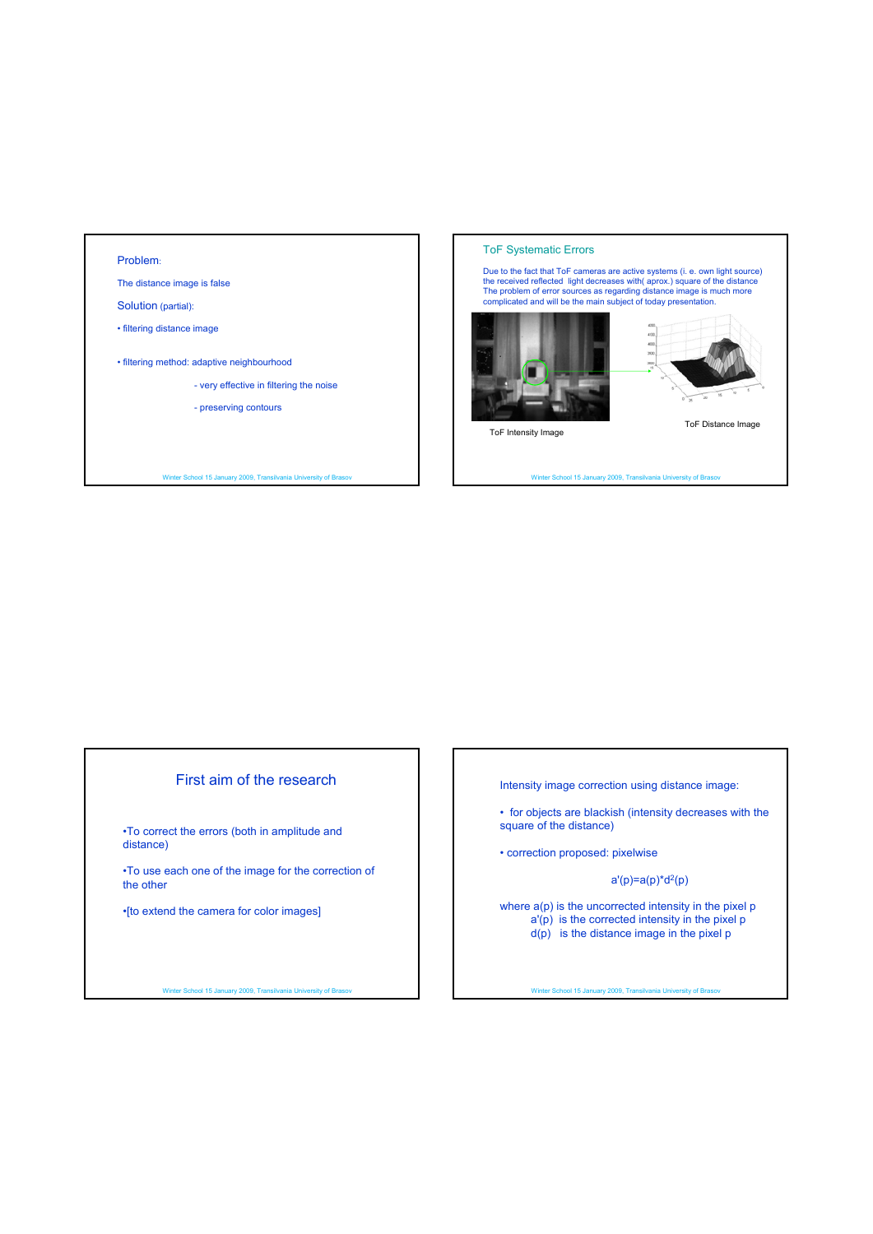#### Problem:

The distance image is false

Solution (partial):

• filtering distance image

• filtering method: adaptive neighbourhood

- very effective in filtering the noise

- preserving contours

Winter School 15 January 2009, Transilvania University of Brasov

#### ToF Systematic Errors



Winter School 15 January 2009, Transilvania University of Brasov

# First aim of the research

•To correct the errors (both in amplitude and distance)

•To use each one of the image for the correction of the other

•[to extend the camera for color images]

Winter School 15 January 2009, Transilvania University of Brasov

Intensity image correction using distance image:

• for objects are blackish (intensity decreases with the square of the distance)

• correction proposed: pixelwise

 $a'(p)=a(p)^*d^2(p)$ 

where  $a(p)$  is the uncorrected intensity in the pixel  $p$ a'(p) is the corrected intensity in the pixel p d(p) is the distance image in the pixel p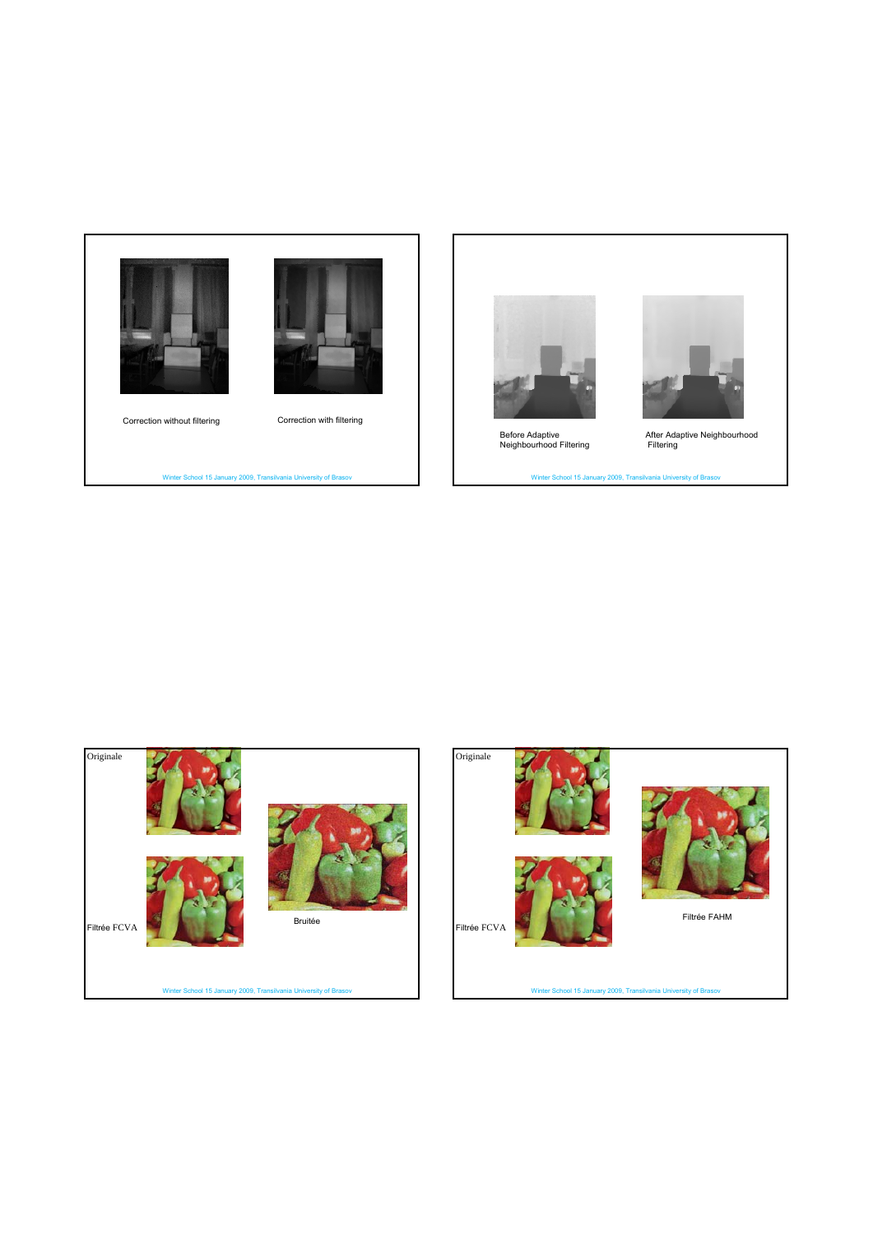



Correction without filtering Correction with filtering

Winter School 15 January 2009, Transilvania University of Brasov



Before Adaptive Neighbourhood Filtering

Winter School 15 January 2009, Transilvania University of Bra





After Adaptive Neighbourhood Filtering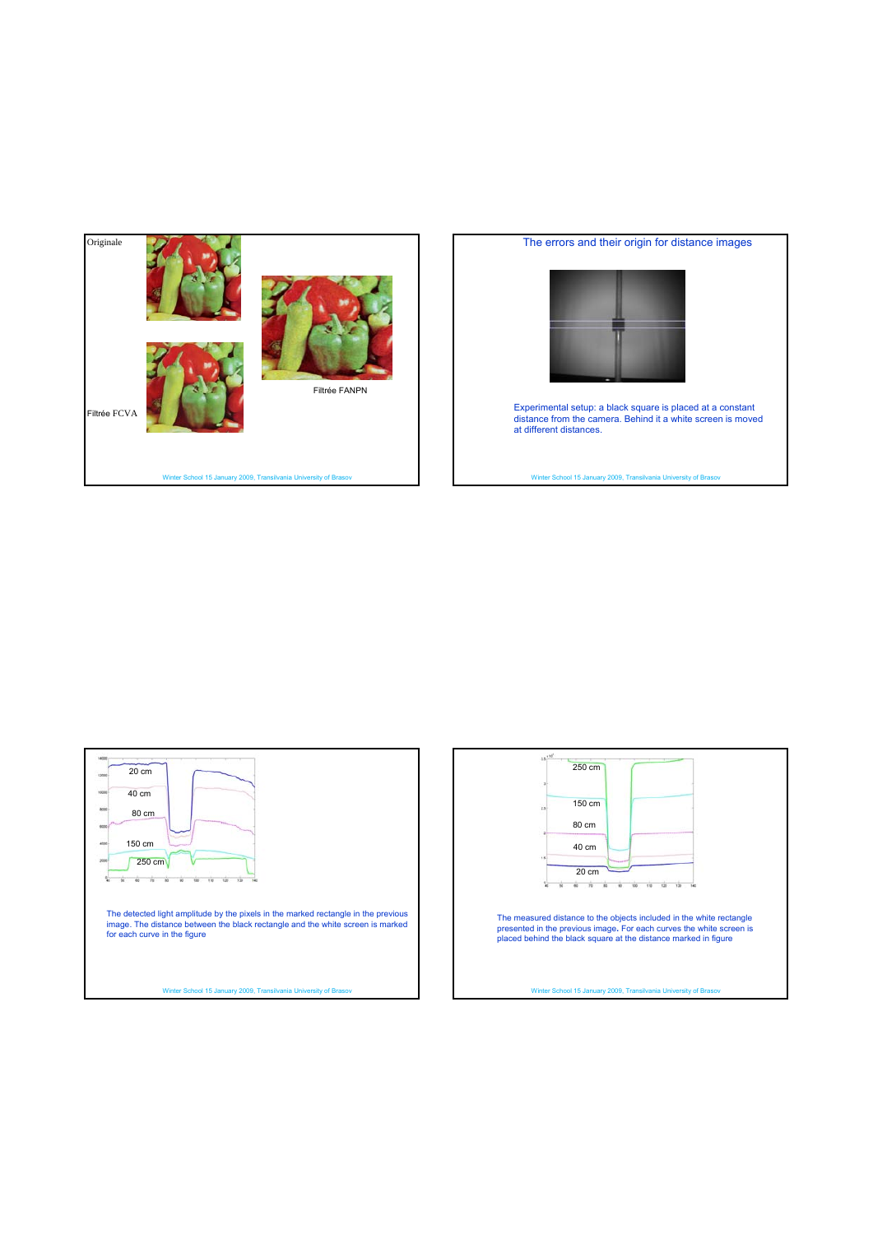

### The errors and their origin for distance images



Experimental setup: a black square is placed at a constant distance from the camera. Behind it a white screen is moved at different distances.

vol 15 January 2009, Tra



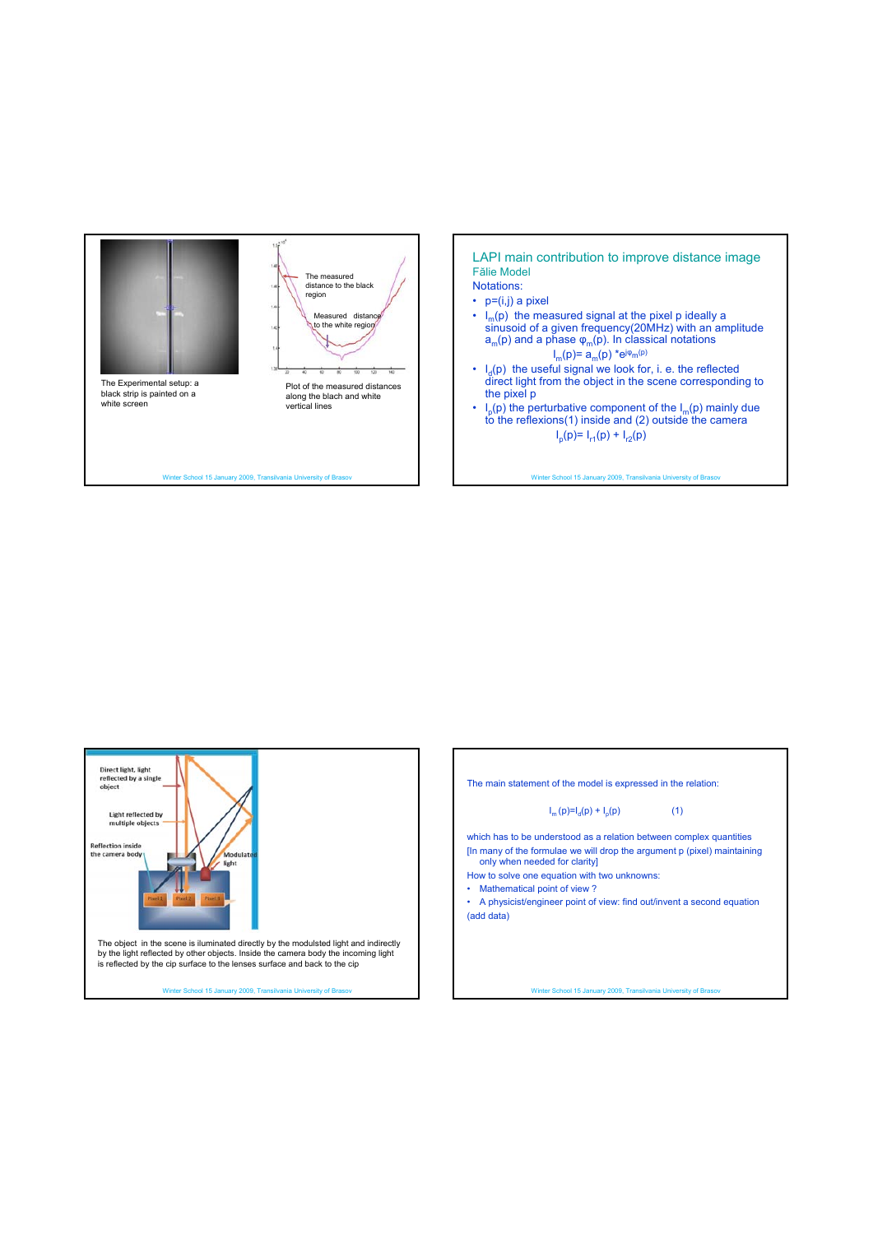



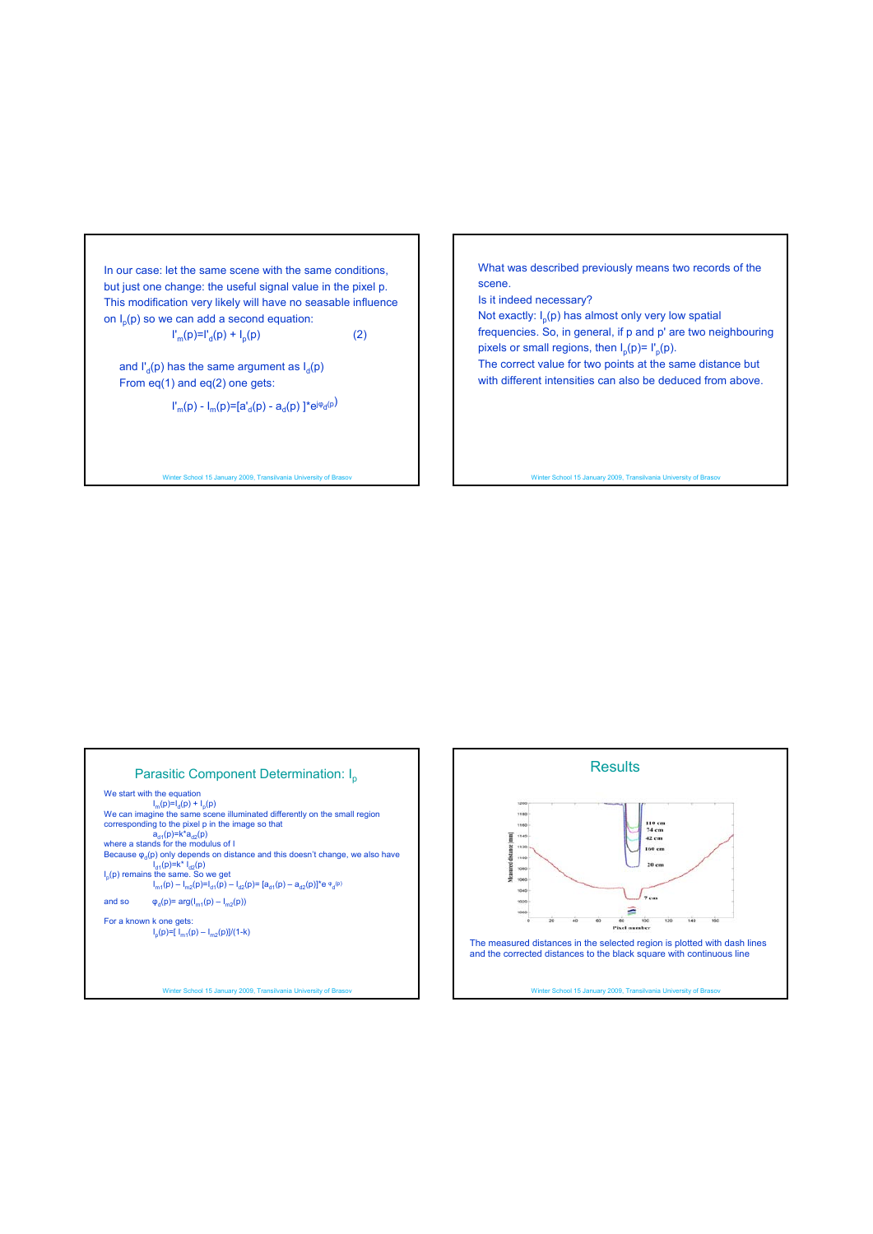In our case: let the same scene with the same conditions, but just one change: the useful signal value in the pixel p. This modification very likely will have no seasable influence on  $I_p(p)$  so we can add a second equation:

$$
\Gamma_{m}(p)=\Gamma_{d}(p)+I_{p}(p) \tag{2}
$$

and  $I'_d(p)$  has the same argument as  $I_d(p)$ From eq(1) and eq(2) one gets:

 $\Gamma_m(p)$  -  $I_m(p)$ =[a'<sub>d</sub>(p) - a<sub>d</sub>(p) ]\*e<sup>j $\varphi$ </sup>d<sup>(p)</sup>

Winter School 15 January 2009, Transilvania University of Brasov

What was described previously means two records of the scene.

Is it indeed necessary?

Not exactly:  $I_n(p)$  has almost only very low spatial frequencies. So, in general, if p and p' are two neighbouring pixels or small regions, then  $I_p(p) = I'_p(p)$ . The correct value for two points at the same distance but with different intensities can also be deduced from above.

Winter School 15 January 2009, Transilvania University of Brasov

#### Parasitic Component Determination: I<sub>p</sub>

We start with the equation  $I_m(p)=I_d(p) + I_p(p)$ <br>We can imagine the same scene illuminated differently on the small region corresponding to the pixel p in the image so that<br>  $a_{d1}(p)=k^*a_{d2}(p)$ <br>
where a stands for the modulus of I Because  $\varphi_d(p)$  only depends on distance and this doesn't change, we also have<br>  $I_p(p)$  remains the same. So we get<br>  $I_{m1}(p) - I_{m2}(p) = I_{d1}(p) - I_{d2}(p) = [a_{d1}(p) - a_{d2}(p)]^* \cdot e_q^{(p)}$ and so  $\varphi_d(p) = \arg(I_{m1}(p) - I_{m2}(p))$ 

For a known k one gets:  $I_p(p)=\left[ I_{m1}(p) - I_{m2}(p) \right] / (1-k)$ 

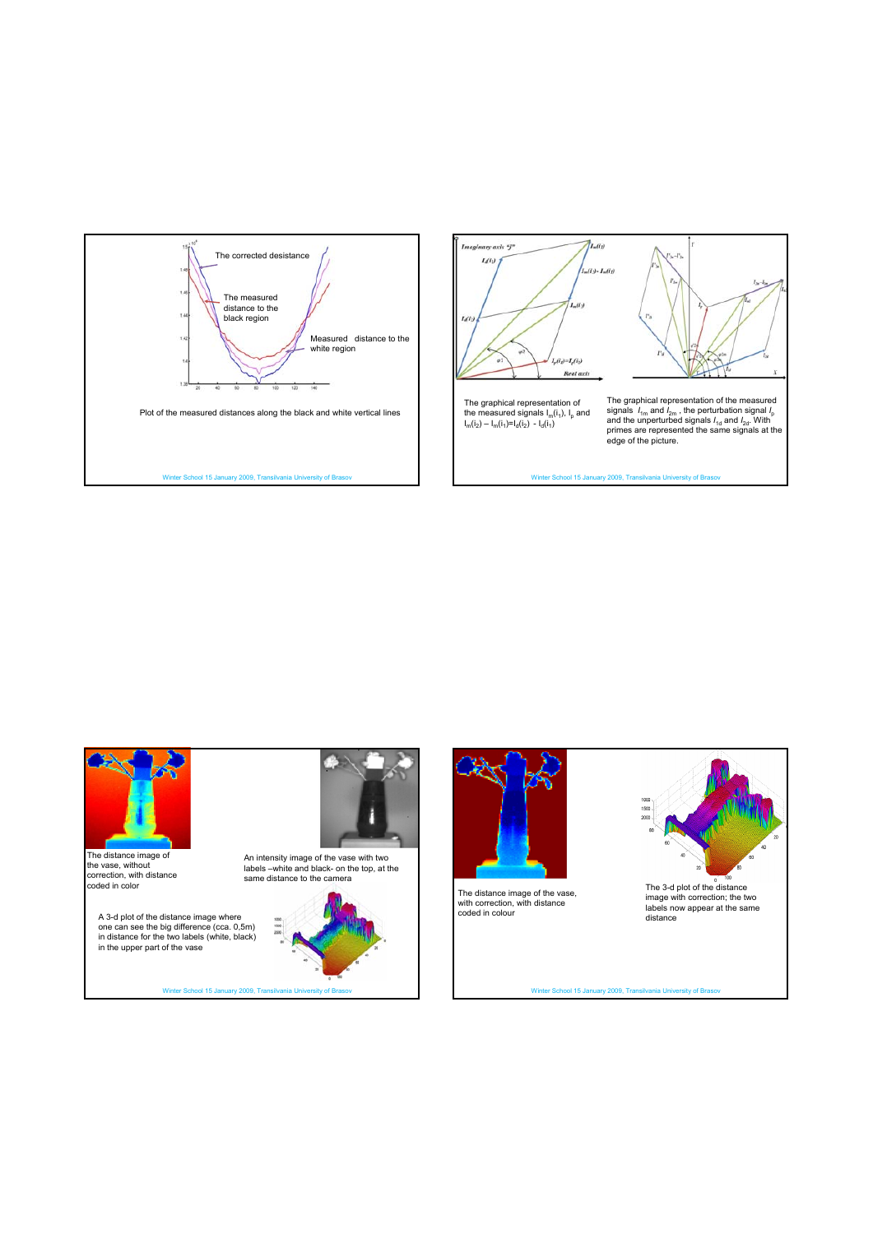







The 3-d plot of the distance image with correction; the two labels now appear at the same distance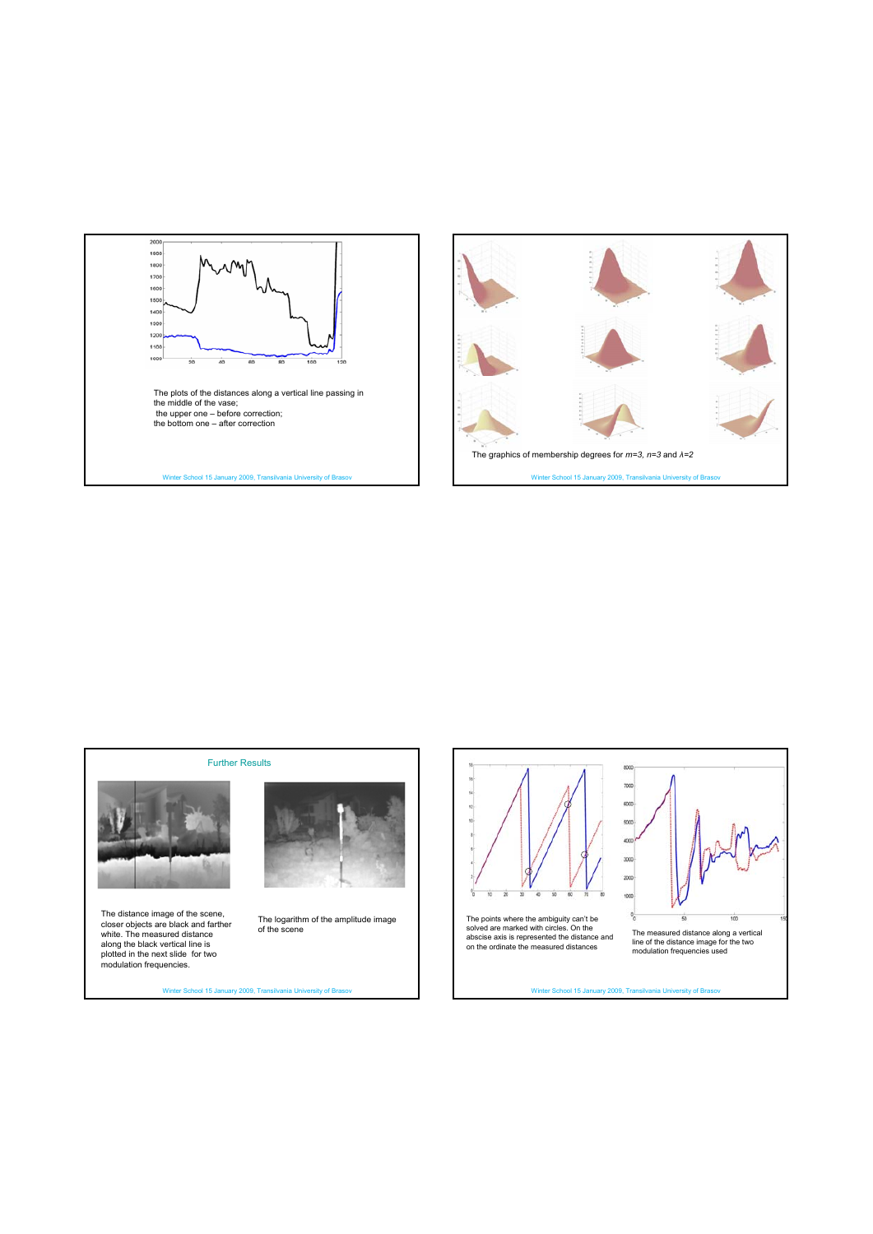



Further Results  $\frac{16}{14}$  $\frac{1}{12}$ ą The distance image of the scene, closer objects are black and farther white. The measured distance along the black vertical line is plotted in the next slide for two The logarithm of the amplitude image of the scene

Winter School 15 January 2009, Transilvania University of Brasov

modulation frequencies.

The points where the ambiguity can't be solved are marked with circles. On the solved abscise axis is represented the distance and on the ordinate the measured distances

The measured distance along a vertical line of the distance image for the two modulation frequencies used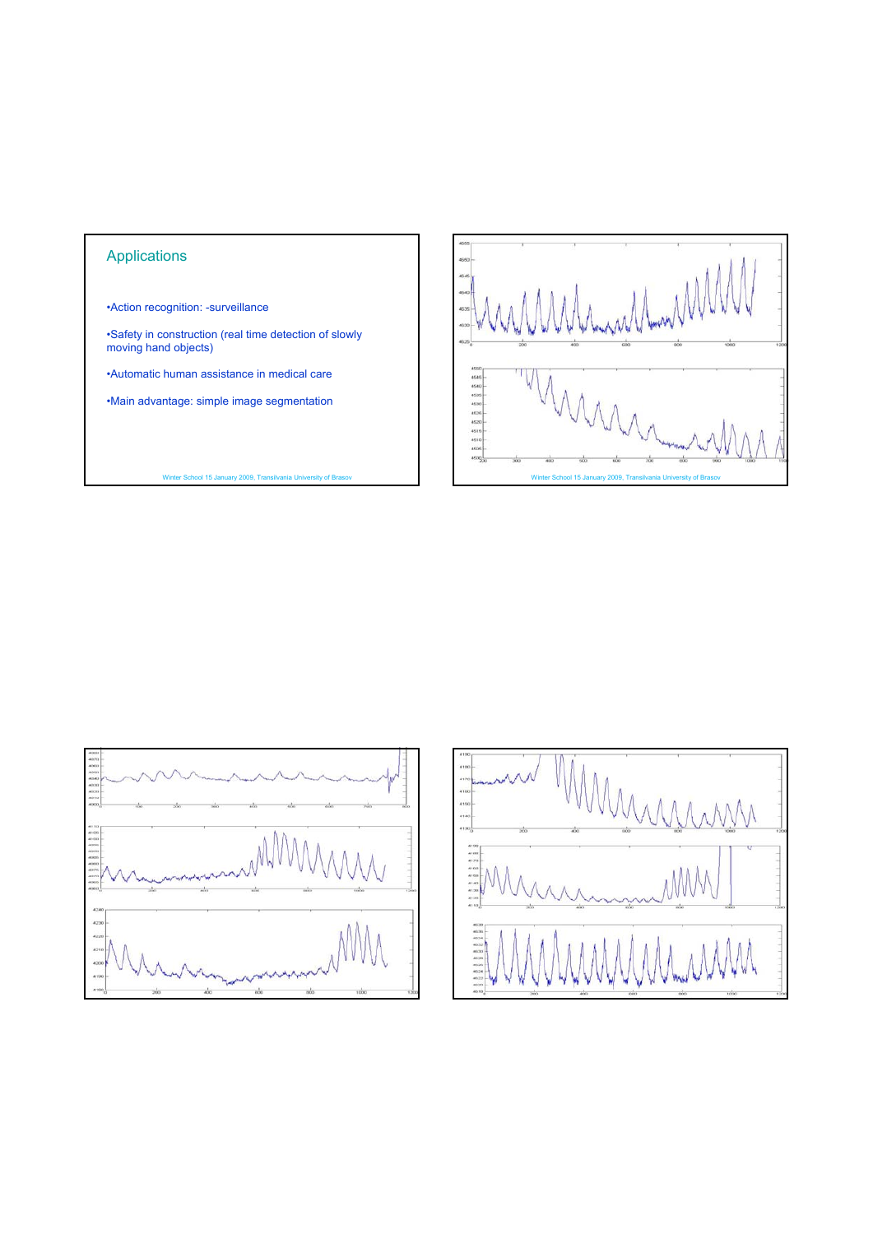# Applications

•Action recognition: -surveillance

•Safety in construction (real time detection of slowly moving hand objects)

•Automatic human assistance in medical care

•Main advantage: simple image segmentation





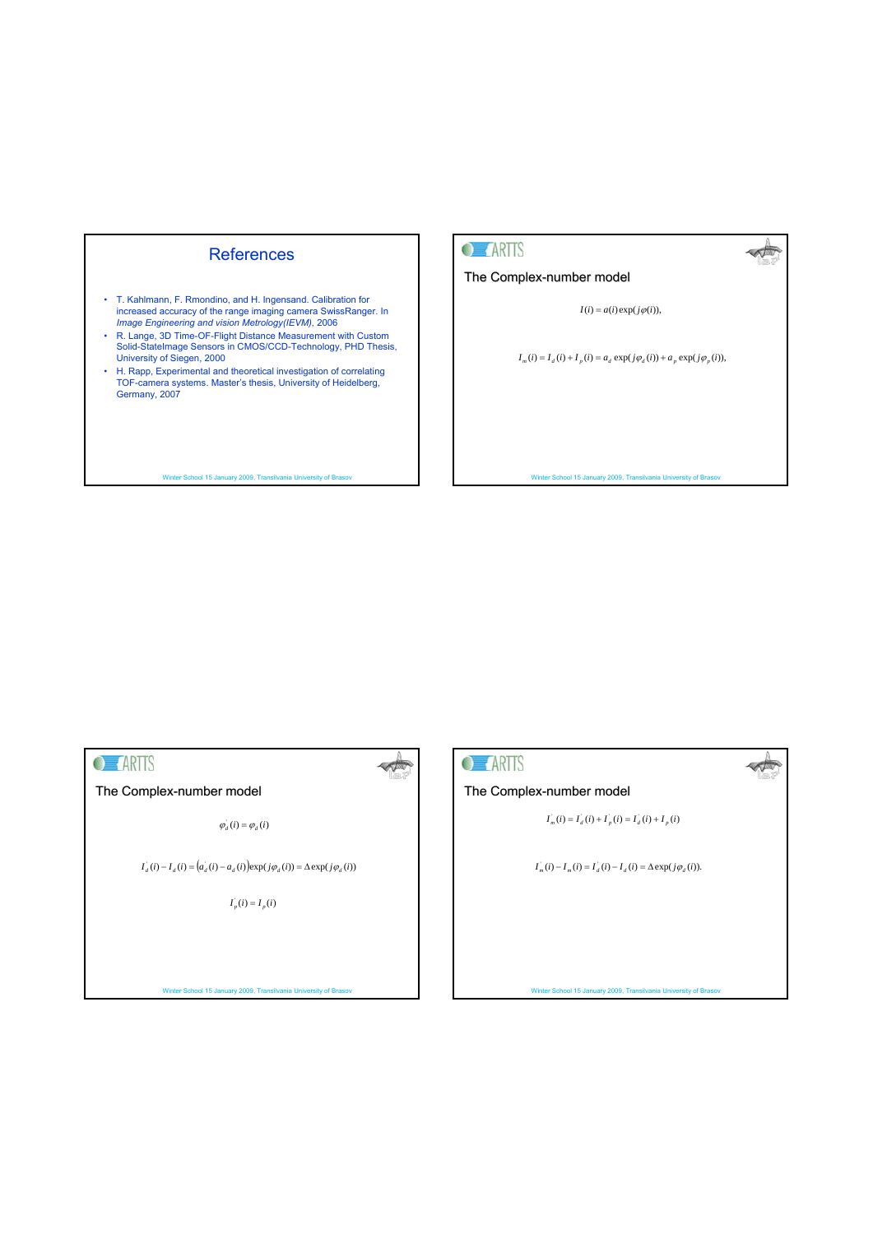# References

- T. Kahlmann, F. Rmondino, and H. Ingensand. Calibration for increased accuracy of the range imaging camera SwissRanger. In *Image Engineering and vision Metrology(IEVM),* 2006
- R. Lange, 3D Time-OF-Flight Distance Measurement with Custom Solid-StateImage Sensors in CMOS/CCD-Technology, PHD Thesis, University of Siegen, 2000
- H. Rapp, Experimental and theoretical investigation of correlating TOF-camera systems. Master's thesis, University of Heidelberg, Germany, 2007

Winter School 15 January 2009, Transilvania University of Brasov



The Complex-number model

 $I(i) = a(i) \exp(j\varphi(i)),$ 

Æ

 $\triangle$ 

 $I_m(i) = I_d(i) + I_p(i) = a_d \exp(j\varphi_d(i)) + a_p \exp(j\varphi_p(i)),$ 

Winter School 15 January 2009, Transilvania University of Brasov

# **O** *ARTIS*

 $\sim$   $\frac{1}{2}$ 

The Complex-number model

 $\varphi_d \left( i \right) = \varphi_d \left( i \right)$ 

 $I_d(i) - I_d(i) = (a_d(i) - a_d(i)) \exp(j\varphi_d(i)) = \Delta \exp(j\varphi_d(i))$ 

 $I_p(i) = I_p(i)$ 

## Winter School 15 January 2009, Transilvania University of Brasov



## The Complex-number model

 $I_n(i) = I_d(i) + I_p(i) = I_d(i) + I_p(i)$ 

 $I_m(i) - I_m(i) = I_d(i) - I_d(i) = \Delta \exp(j\varphi_d(i)).$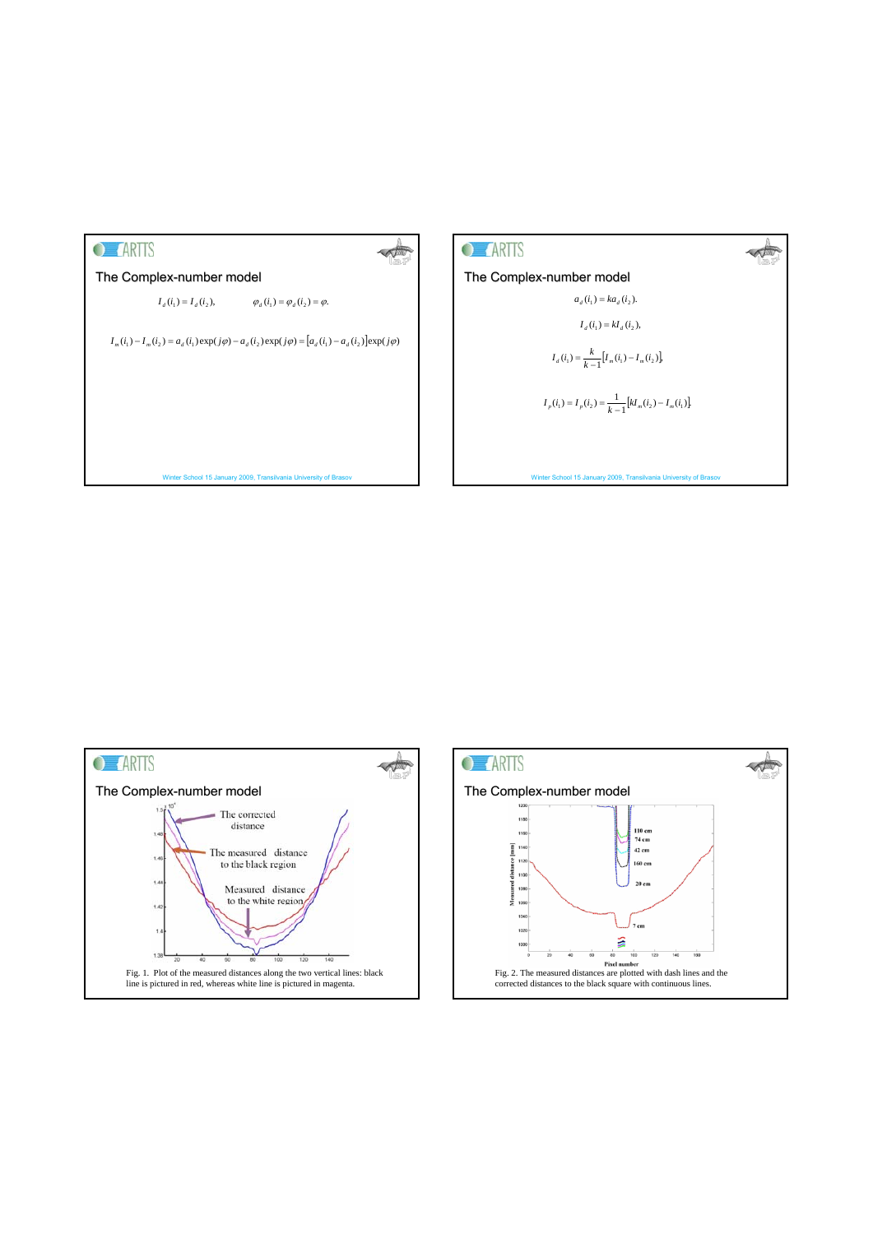





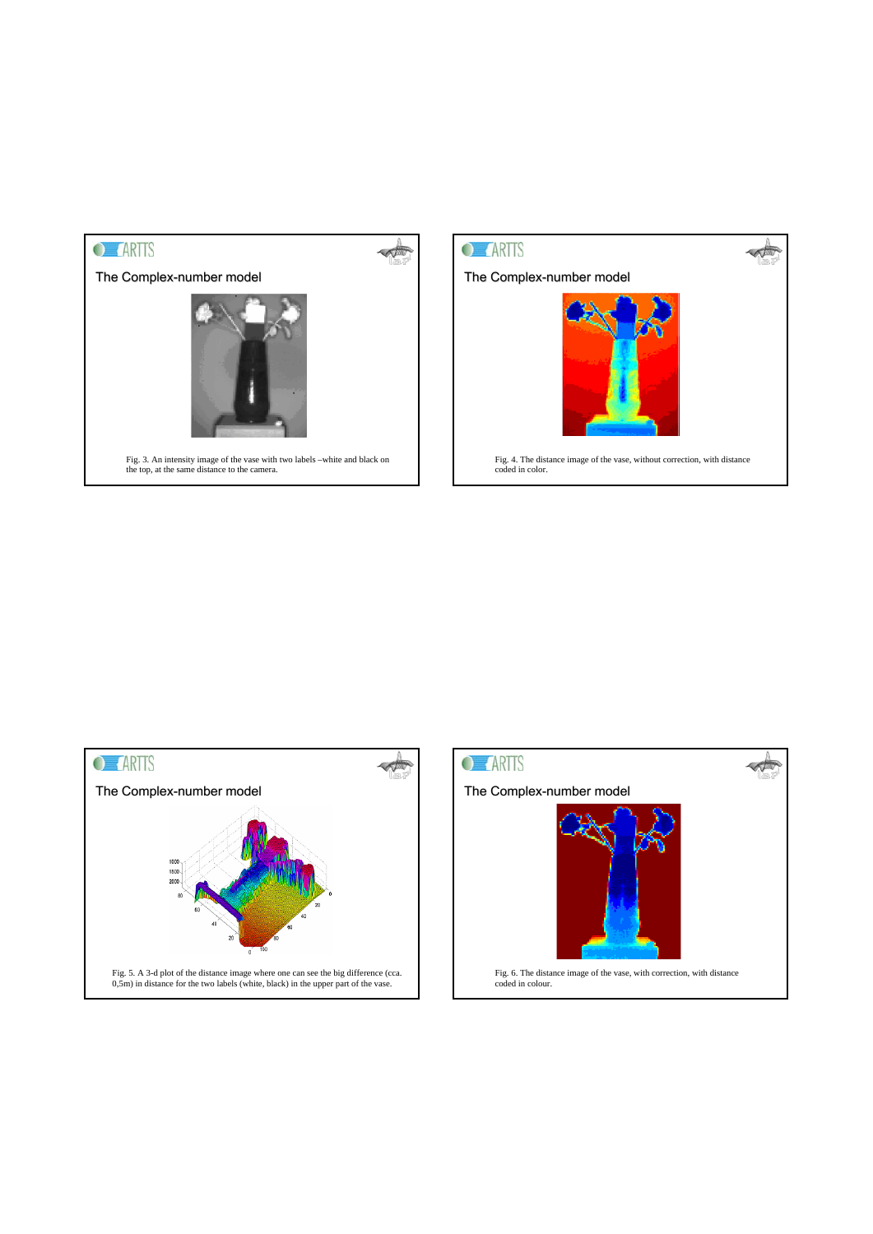